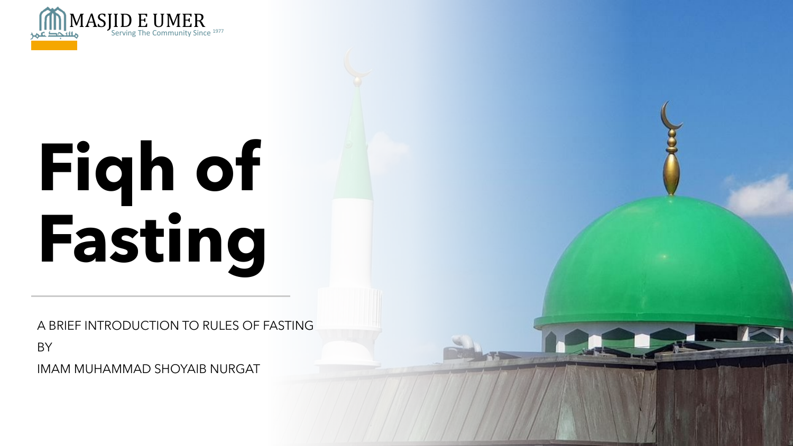

# **Fiqh of Fasting**

A BRIEF INTRODUCTION TO RULES OF FASTING

BY

IMAM MUHAMMAD SHOYAIB NURGAT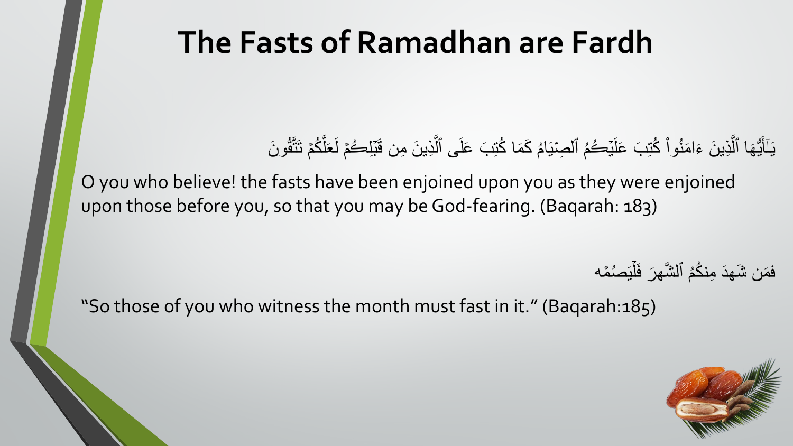#### **The Fasts of Ramadhan are Fardh**

#### يَـٰٓأَيُّهَا ٱلَّذِينَ ءَامَنُواْ كُتِبَ عَلَيۡحُمُ ٱلصِّيَامُ كَمَا كُتِبَ عَلَى ٱلَّذِينَ مِن قَبَلِحُمۡ لَعَلَّكُمۡ تَتَّقُونَ َ ِّ بِ َّ  $\overline{1}$

O you who believe! the fasts have been enjoined upon you as they were enjoined upon those before you, so that you may be God-fearing. (Baqarah: 183)

> فمَن شَهدَ مِنكُمُ ٱلشَّهرَ فَلَْبَصُمَّه َل

"So those of you who witness the month must fast in it." (Baqarah:185)

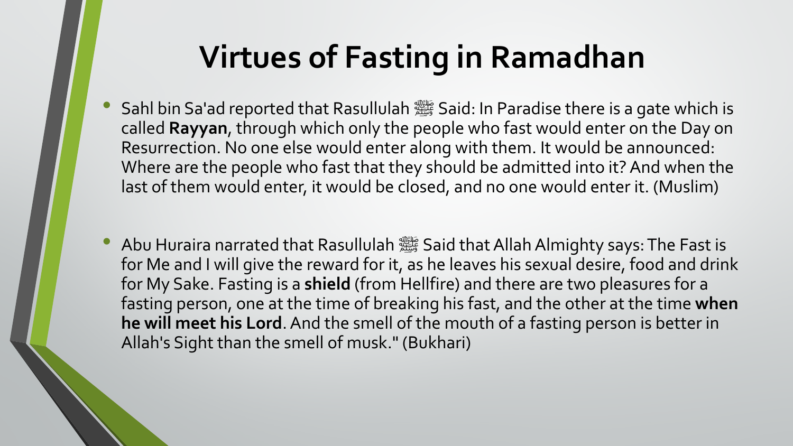### **Virtues of Fasting in Ramadhan**

- Sahl bin Sa'ad reported that Rasullulah صلى الله عليه وسلمSaid: In Paradise there is a gate which is called **Rayyan**, through which only the people who fast would enter on the Day on Resurrection. No one else would enter along with them. It would be announced: Where are the people who fast that they should be admitted into it? And when the last of them would enter, it would be closed, and no one would enter it. (Muslim)
- Abu Huraira narrated that Rasullulah صلى الله عليه وسلمSaid that Allah Almighty says: The Fast is for Me and I will give the reward for it, as he leaves his sexual desire, food and drink for My Sake. Fasting is a **shield** (from Hellfire) and there are two pleasures for a fasting person, one at the time of breaking his fast, and the other at the time **when he will meet his Lord**. And the smell of the mouth of a fasting person is better in Allah's Sight than the smell of musk." (Bukhari)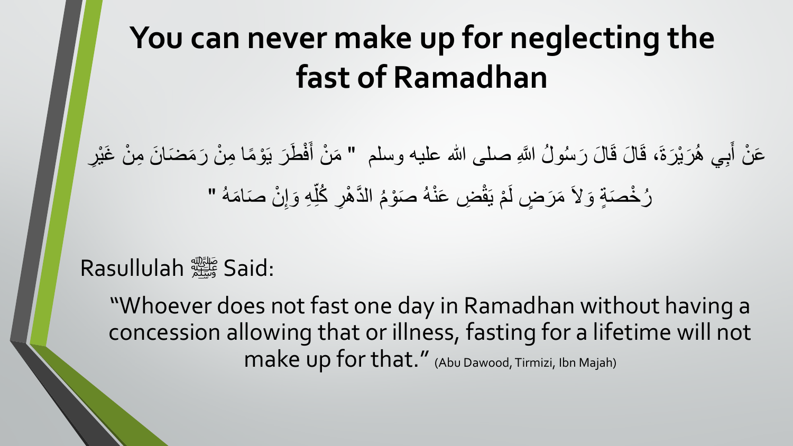# **You can never make up for neglecting the fast of Ramadhan**

#### عَنْ أَبِي هُرَيْرَةَ، قَالَ قَالَ رَسُولُ اللَّهِ صلى الله عليه وسلم " مَنْ أَفْطَرَ يَوْمًا مِنْ رَمَضَانَ مِنْ غَيْرِ ؚ<br>ؚ ْ ֦֧<u>֘</u> <u>់</u> <u>់</u> ً رُخْصَةٍ وَلاَ مَرَضٍ لَمْ يَقْضِ عَنْهُ صَوْمُ الذَّهْرِ كُلِّهِ وَإِنْ صَامَهُ " ֖֚֚֡֡<u>֚</u> ا<br>ا <u>់</u> ֦֧<u>֘</u> ֦֧֖֧֟֟֟֟֟֟֟֟֟֟֟֟֟֟֩֕<sup>֟</sup> ्राप्त स्थापना अस्ति ।<br>सन्दर्भ सामग्रीहरू ֚֚<u>֓</u> ֧֖֧֟֓֟֓֓<u>֓</u>

#### Rasullulah صلى الله عليه وسلمSaid:

"Whoever does not fast one day in Ramadhan without having a concession allowing that or illness, fasting for a lifetime will not make up for that." (Abu Dawood, Tirmizi, Ibn Majah)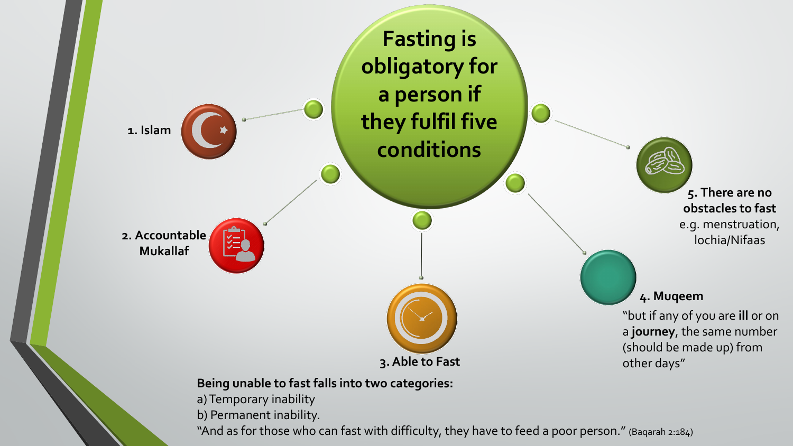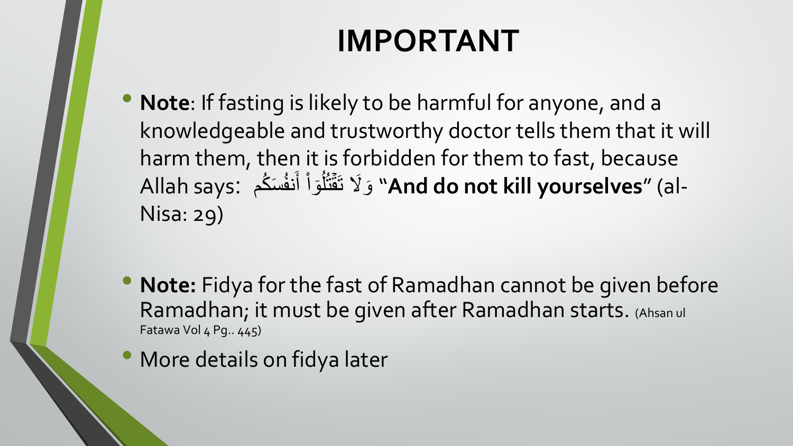#### **IMPORTANT**

- **Note**: If fasting is likely to be harmful for anyone, and a knowledgeable and trustworthy doctor tells them that it will harm them, then it is forbidden for them to fast, because -A**nd do not kill yourselves**" (al- وَ لَا تَقَتْلُوَاْ أَنفُسَكُم Allah says: م │<br>│ ا<br>ا Nisa: 29)
- **Note:** Fidya for the fast of Ramadhan cannot be given before Ramadhan; it must be given after Ramadhan starts. (Ahsan ul Fatawa Vol 4 Pg. 445)
- More details on fidya later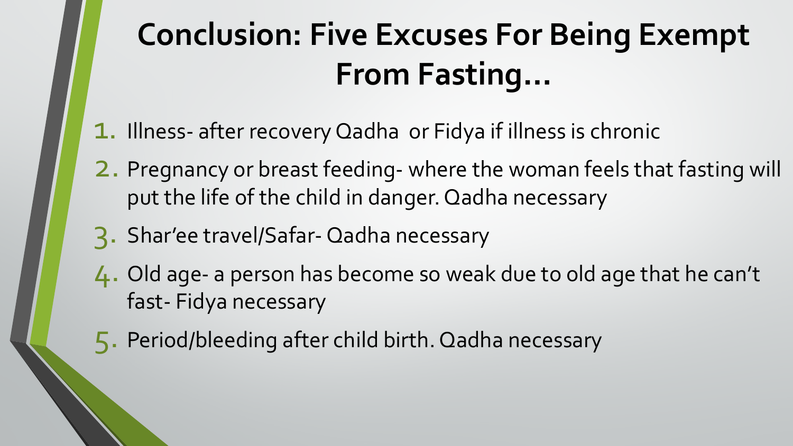# **Conclusion: Five Excuses For Being Exempt From Fasting…**

- 1. Illness- after recovery Qadha or Fidya if illness is chronic
- 2. Pregnancy or breast feeding- where the woman feels that fasting will put the life of the child in danger. Qadha necessary
- 3. Shar'ee travel/Safar- Qadha necessary
- 4. Old age- a person has become so weak due to old age that he can't fast- Fidya necessary
- 5. Period/bleeding after child birth. Qadha necessary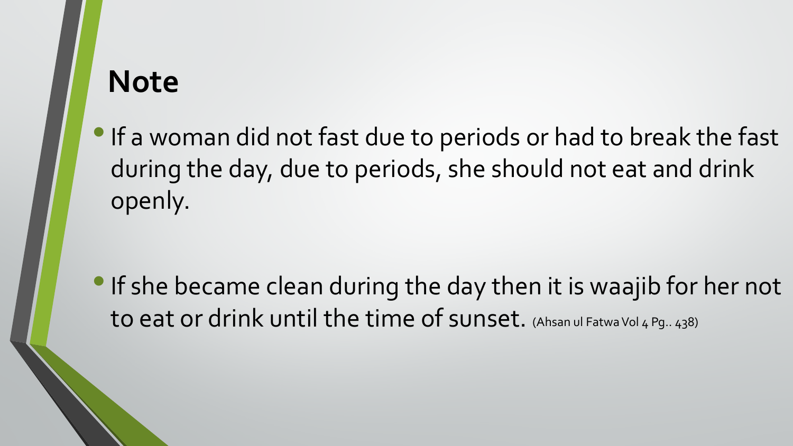#### **Note**

•If a woman did not fast due to periods or had to break the fast during the day, due to periods, she should not eat and drink openly.

• If she became clean during the day then it is waajib for her not to eat or drink until the time of sunset. (Ahsan ul Fatwa Vol 4 Pq.. 438)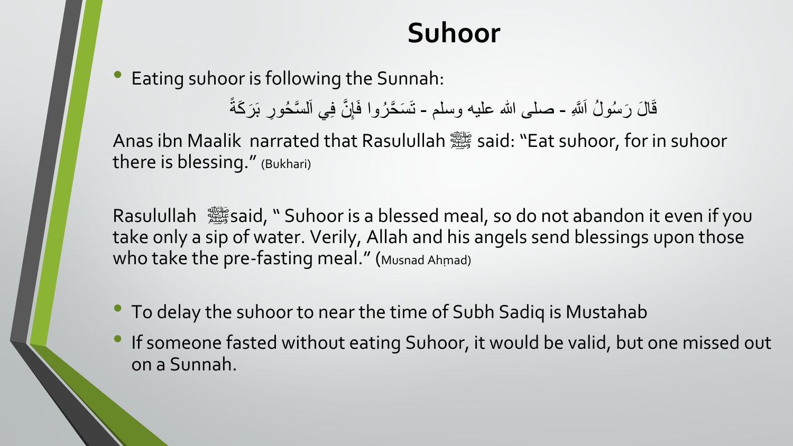#### **Suhoor**

• Eating suhoor is following the Sunnah:

قَالَ رَسُولُ اَللَّهِ - صلى الله عليه وسلم - تَسَحَّرُوا فَإِنَّ فِي اَلسَّحُورِ بَرَكَةً المسلم<br>المسلمات ِّ بِيَا الْمُسْتَقِينَ بِيَا الْمُسْتَقِينَ بِيَا الْمُسْتَقِينَ بِيَا الْمُسْتَقِينَ بِيَا الْمُسَتَقِينَ بِ ֝֝֝֝֝**֝** 

Anas ibn Maalik narrated that Rasulullah صلى said: "Eat suhoor, for in suhoor there is blessing." (Bukhari)

Rasulullah صلى الله عليه وسلمsaid, " Suhoor is a blessed meal, so do not abandon it even if you take only a sip of water. Verily, Allah and his angels send blessings upon those who take the pre-fasting meal." (Musnad Ahmad)

- To delay the suhoor to near the time of Subh Sadiq is Mustahab
- If someone fasted without eating Suhoor, it would be valid, but one missed out on a Sunnah.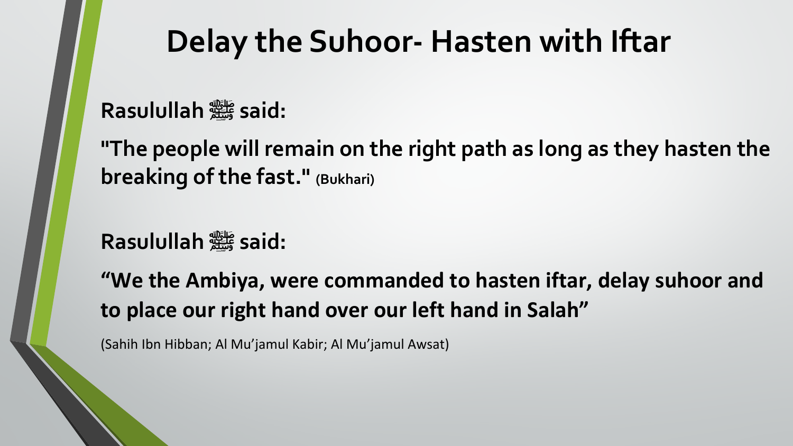#### **Delay the Suhoor- Hasten with Iftar**

**Rasulullah صلى الله عليه وسلم said:**

**"The people will remain on the right path as long as they hasten the breaking of the fast." (Bukhari)**

**Rasulullah صلى الله عليه وسلم said:**

**"We the Ambiya, were commanded to hasten iftar, delay suhoor and to place our right hand over our left hand in Salah"**

(Sahih Ibn Hibban; Al Mu'jamul Kabir; Al Mu'jamul Awsat)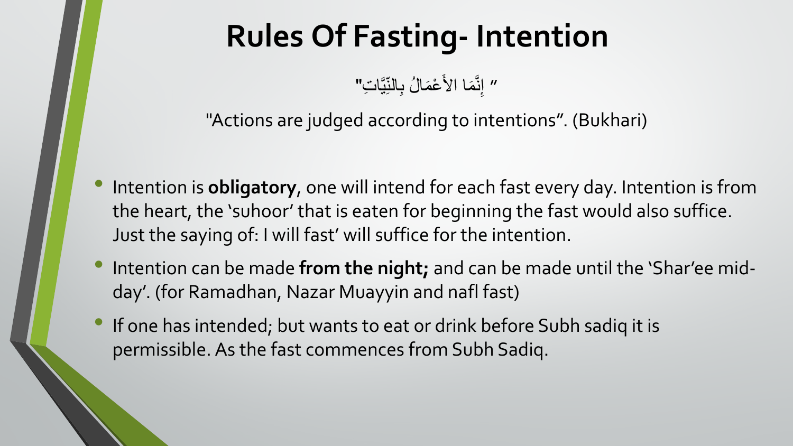# **Rules Of Fasting- Intention**

" إِنَّمَا الأَعْمَالُ بِالنِّيَّاتِ" ֺ<u>֓</u>

"Actions are judged according to intentions". (Bukhari)

- Intention is **obligatory**, one will intend for each fast every day. Intention is from the heart, the 'suhoor' that is eaten for beginning the fast would also suffice. Just the saying of: I will fast' will suffice for the intention.
- Intention can be made **from the night;** and can be made until the 'Shar'ee midday'. (for Ramadhan, Nazar Muayyin and nafl fast)
- If one has intended; but wants to eat or drink before Subh sadiq it is permissible. As the fast commences from Subh Sadiq.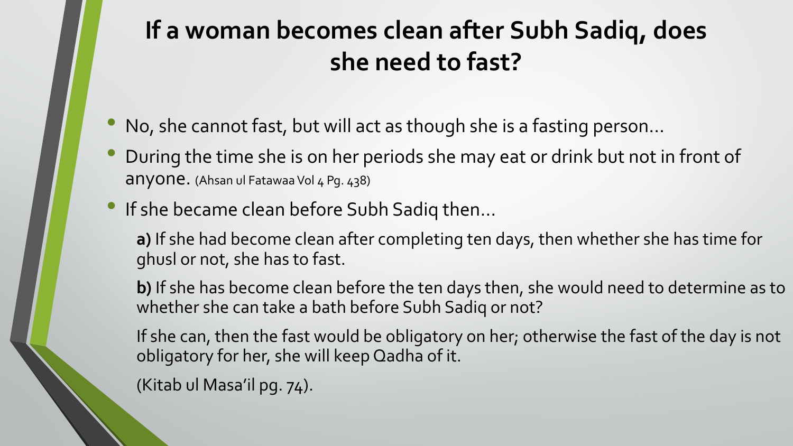#### **If a woman becomes clean after Subh Sadiq, does she need to fast?**

- No, she cannot fast, but will act as though she is a fasting person…
- During the time she is on her periods she may eat or drink but not in front of anyone. (Ahsan ul Fatawaa Vol 4 Pg. 438)
- If she became clean before Subh Sadiq then...

**a)** If she had become clean after completing ten days, then whether she has time for ghusl or not, she has to fast.

**b)** If she has become clean before the ten days then, she would need to determine as to whether she can take a bath before Subh Sadiq or not?

If she can, then the fast would be obligatory on her; otherwise the fast of the day is not obligatory for her, she will keep Qadha of it.

(Kitab ul Masa'il pg. 74).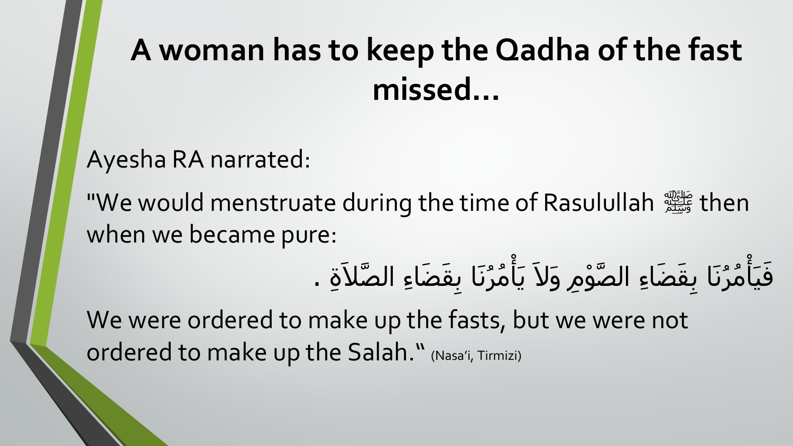# **A woman has to keep the Qadha of the fast missed…**

Ayesha RA narrated:

"We would menstruate during the time of Rasulullah صلى الله عليه وسلم then when we became pure:

#### فَيَأْمُرُنَا بِقَضَاءِ الصَّوْمِ وَلاَ يَأْمُرُنَا بِقَضَاءِ الصَّلاَةِ . ؚ<br>ۣ ِّ بِ **֖֚֡**֖֖֖֖֖֖֖֚֚֚֚ ُ ؘ<br>֡֕ י<br>י

We were ordered to make up the fasts, but we were not ordered to make up the Salah." (Nasa'i, Tirmizi)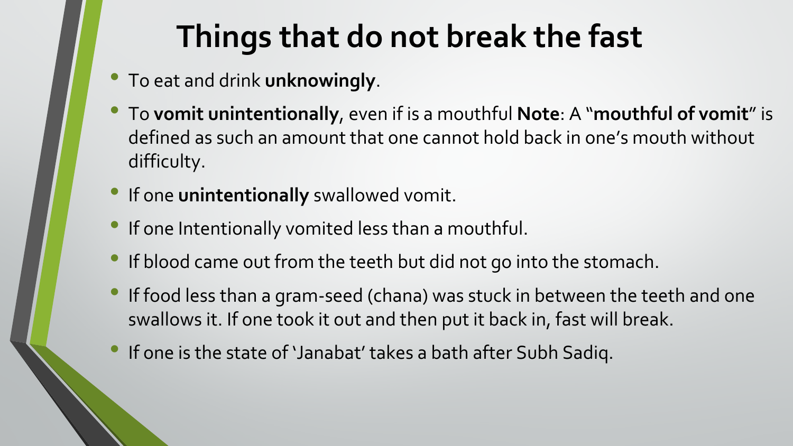### **Things that do not break the fast**

- To eat and drink **unknowingly**.
- To **vomit unintentionally**, even if is a mouthful **Note**: A "**mouthful of vomit**" is defined as such an amount that one cannot hold back in one's mouth without difficulty.
- If one **unintentionally** swallowed vomit.
- If one Intentionally vomited less than a mouthful.
- If blood came out from the teeth but did not go into the stomach.
- If food less than a gram-seed (chana) was stuck in between the teeth and one swallows it. If one took it out and then put it back in, fast will break.
- If one is the state of 'Janabat' takes a bath after Subh Sadiq.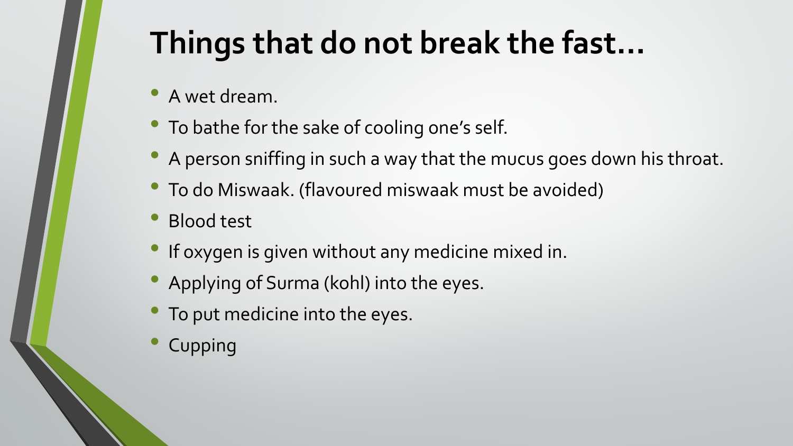### **Things that do not break the fast…**

- A wet dream.
- To bathe for the sake of cooling one's self.
- A person sniffing in such a way that the mucus goes down his throat.
- To do Miswaak. (flavoured miswaak must be avoided)
- Blood test
- If oxygen is given without any medicine mixed in.
- Applying of Surma (kohl) into the eyes.
- To put medicine into the eyes.
- **Cupping**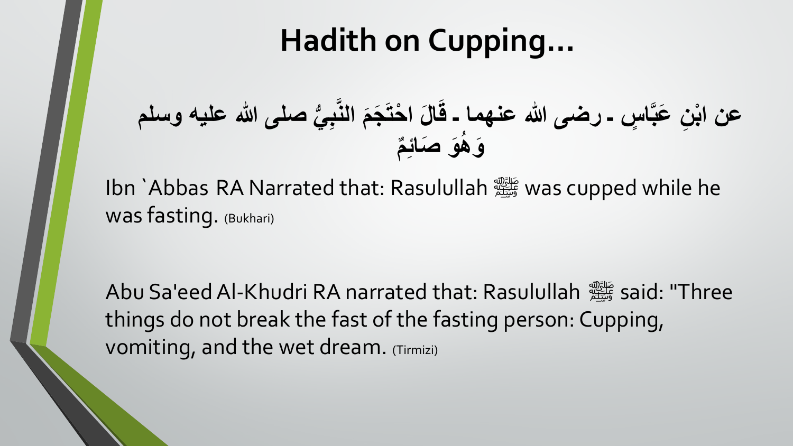### **Hadith on Cupping…**

**ي ِ ُّ ب َّ َ َج َم الن َ َ ال ْ احت ٍ اس ـ رضى الله عنھما ـ ق َّ ْ عن اب صلى الله علیھ وسلم ِن عَب م ٌ ِ ھ َو َ صائ ُ َو**

Ibn `Abbas RA Narrated that: Rasulullah صلى الله عليه وسلم was cupped while he was fasting. (Bukhari)

Abu Sa'eed Al-Khudri RA narrated that: Rasulullah صلى الله عليه وسلم said: "Three things do not break the fast of the fasting person: Cupping, vomiting, and the wet dream. (Tirmizi)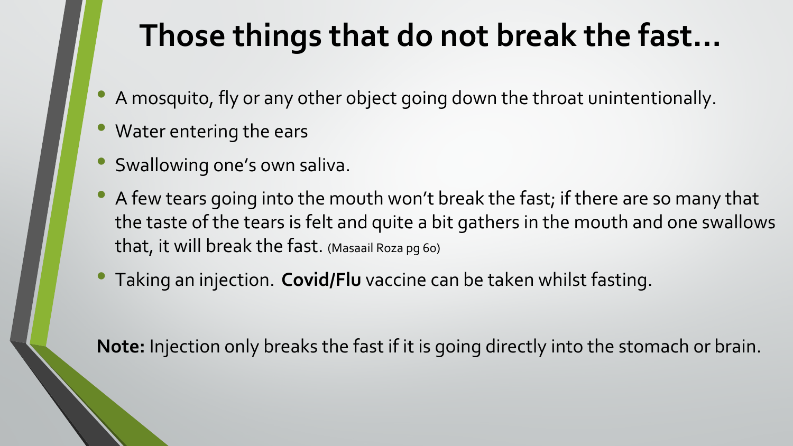#### **Those things that do not break the fast…**

- A mosquito, fly or any other object going down the throat unintentionally.
- Water entering the ears
- Swallowing one's own saliva.
- A few tears going into the mouth won't break the fast; if there are so many that the taste of the tears is felt and quite a bit gathers in the mouth and one swallows that, it will break the fast. (Masaail Roza pg 60)
- Taking an injection. **Covid/Flu** vaccine can be taken whilst fasting.

**Note:** Injection only breaks the fast if it is going directly into the stomach or brain.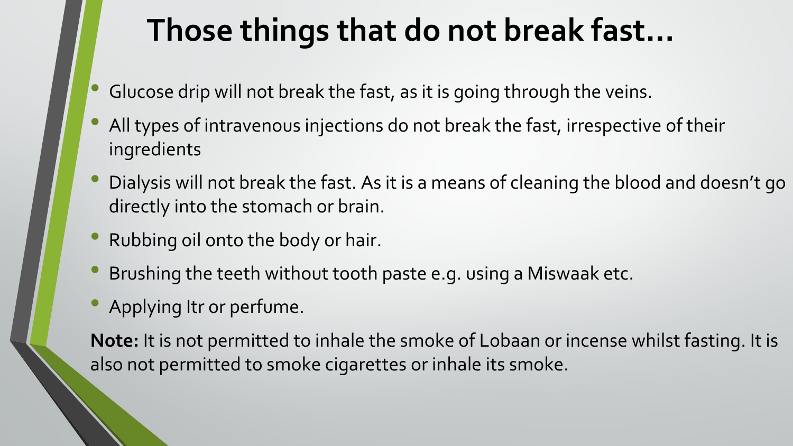### **Those things that do not break fast…**

- Glucose drip will not break the fast, as it is going through the veins.
- All types of intravenous injections do not break the fast, irrespective of their ingredients
- Dialysis will not break the fast. As it is a means of cleaning the blood and doesn't go directly into the stomach or brain.
- Rubbing oil onto the body or hair.
- Brushing the teeth without tooth paste e.g. using a Miswaak etc.
- Applying Itr or perfume.

**Note:** It is not permitted to inhale the smoke of Lobaan or incense whilst fasting. It is also not permitted to smoke cigarettes or inhale its smoke.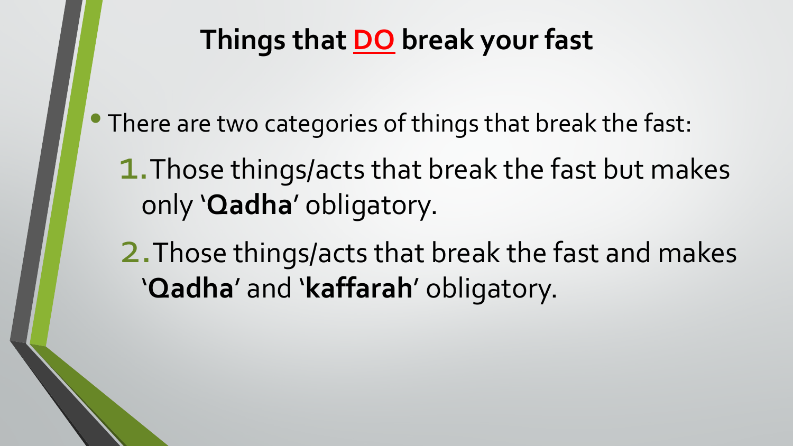#### **Things that DO break your fast**

• There are two categories of things that break the fast:

1.Those things/acts that break the fast but makes only '**Qadha**' obligatory.

2.Those things/acts that break the fast and makes '**Qadha**' and '**kaffarah**' obligatory.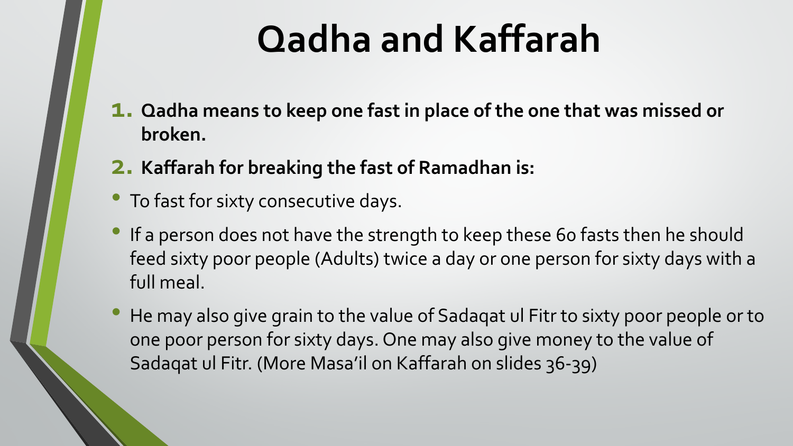# **Qadha and Kaffarah**

- **1. Qadha means to keep one fast in place of the one that was missed or broken.**
- **2. Kaffarah for breaking the fast of Ramadhan is:**
- To fast for sixty consecutive days.
- If a person does not have the strength to keep these 60 fasts then he should feed sixty poor people (Adults) twice a day or one person for sixty days with a full meal.
- He may also give grain to the value of Sadaqat ul Fitr to sixty poor people or to one poor person for sixty days. One may also give money to the value of Sadaqat ul Fitr. (More Masa'il on Kaffarah on slides 36-39)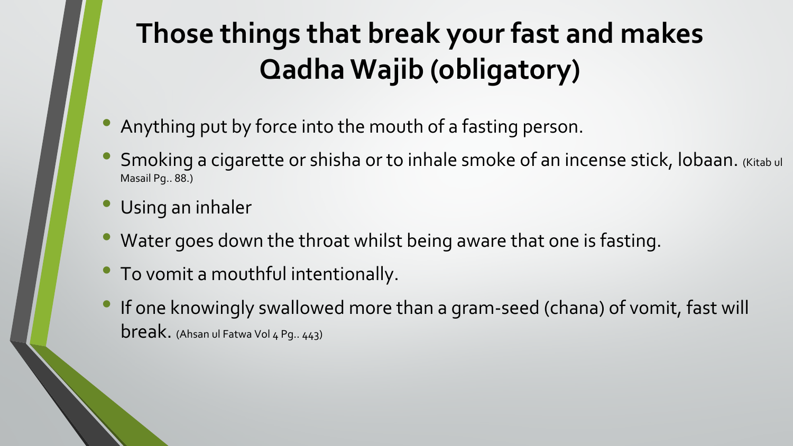#### **Those things that break your fast and makes Qadha Wajib (obligatory)**

- Anything put by force into the mouth of a fasting person.
- Smoking a cigarette or shisha or to inhale smoke of an incense stick, lobaan. (Kitab ul Masail Pg.. 88.)
- Using an inhaler
- Water goes down the throat whilst being aware that one is fasting.
- To vomit a mouthful intentionally.
- If one knowingly swallowed more than a gram-seed (chana) of vomit, fast will break. (Ahsan ul Fatwa Vol 4 Pg. 443)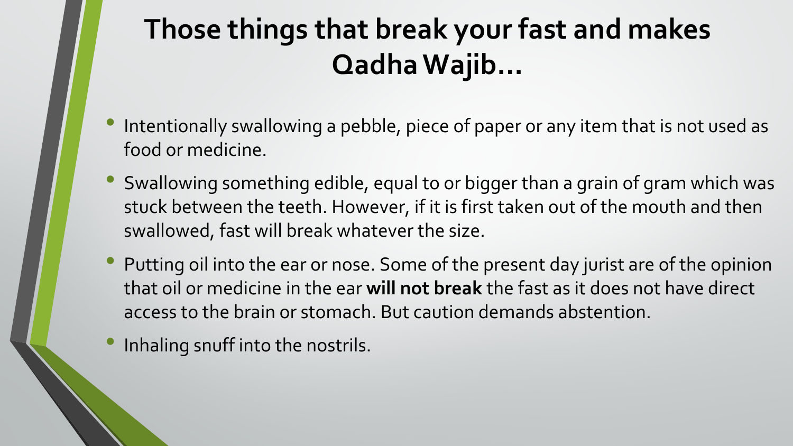#### **Those things that break your fast and makes Qadha Wajib…**

- Intentionally swallowing a pebble, piece of paper or any item that is not used as food or medicine.
- Swallowing something edible, equal to or bigger than a grain of gram which was stuck between the teeth. However, if it is first taken out of the mouth and then swallowed, fast will break whatever the size.
- Putting oil into the ear or nose. Some of the present day jurist are of the opinion that oil or medicine in the ear **will not break** the fast as it does not have direct access to the brain or stomach. But caution demands abstention.
- Inhaling snuff into the nostrils.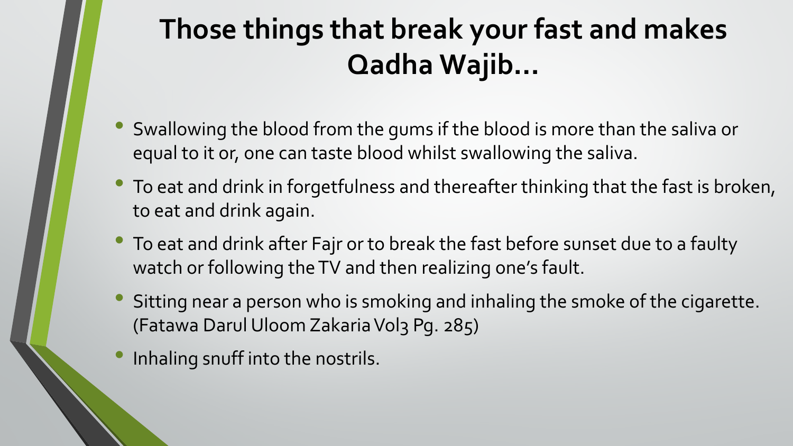#### **Those things that break your fast and makes Qadha Wajib…**

- Swallowing the blood from the gums if the blood is more than the saliva or equal to it or, one can taste blood whilst swallowing the saliva.
- To eat and drink in forgetfulness and thereafter thinking that the fast is broken, to eat and drink again.
- To eat and drink after Fajr or to break the fast before sunset due to a faulty watch or following the TV and then realizing one's fault.
- Sitting near a person who is smoking and inhaling the smoke of the cigarette. (Fatawa Darul Uloom Zakaria Vol3 Pg. 285)
- Inhaling snuff into the nostrils.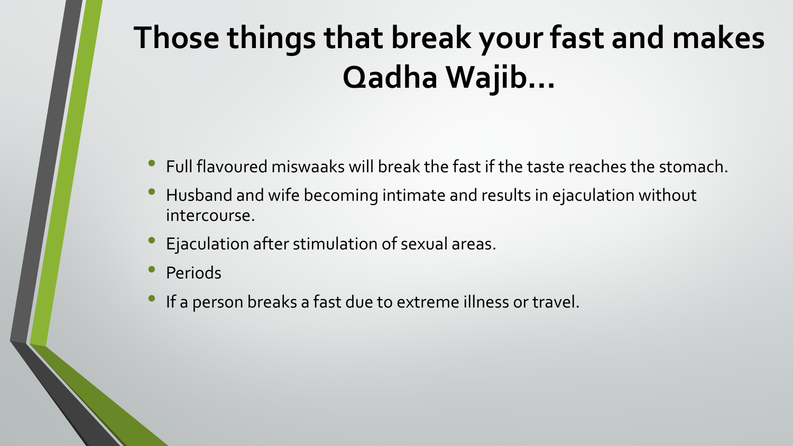# **Those things that break your fast and makes Qadha Wajib…**

- Full flavoured miswaaks will break the fast if the taste reaches the stomach.
- Husband and wife becoming intimate and results in ejaculation without intercourse.
- Ejaculation after stimulation of sexual areas.
- **Periods**
- If a person breaks a fast due to extreme illness or travel.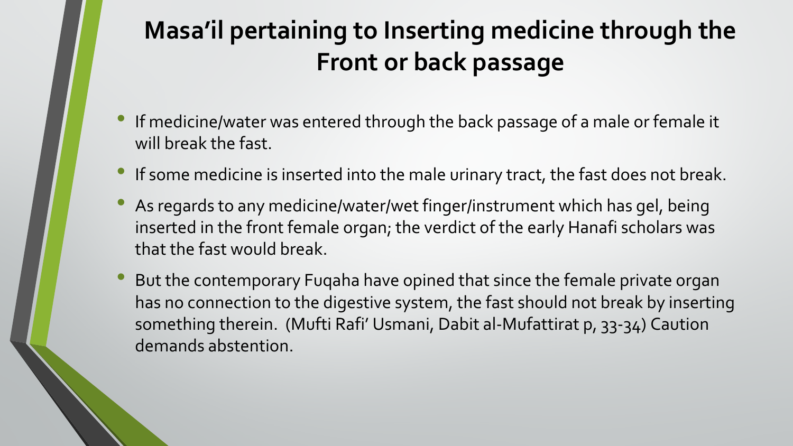#### **Masa'il pertaining to Inserting medicine through the Front or back passage**

- If medicine/water was entered through the back passage of a male or female it will break the fast.
- If some medicine is inserted into the male urinary tract, the fast does not break.
- As regards to any medicine/water/wet finger/instrument which has gel, being inserted in the front female organ; the verdict of the early Hanafi scholars was that the fast would break.
- But the contemporary Fuqaha have opined that since the female private organ has no connection to the digestive system, the fast should not break by inserting something therein. (Mufti Rafi' Usmani, Dabit al-Mufattirat p, 33-34) Caution demands abstention.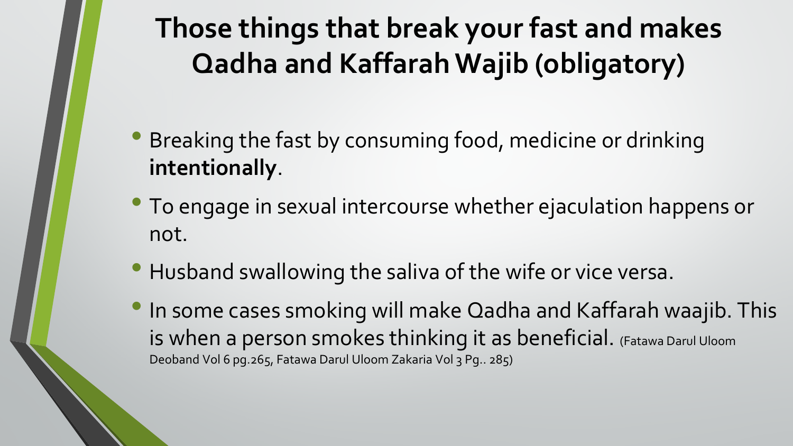**Those things that break your fast and makes Qadha and Kaffarah Wajib (obligatory)**

- Breaking the fast by consuming food, medicine or drinking **intentionally**.
- To engage in sexual intercourse whether ejaculation happens or not.
- Husband swallowing the saliva of the wife or vice versa.
- In some cases smoking will make Qadha and Kaffarah waajib. This is when a person smokes thinking it as beneficial. (Fatawa Darul Uloom Deoband Vol 6 pg.265, Fatawa Darul Uloom Zakaria Vol 3 Pg.. 285)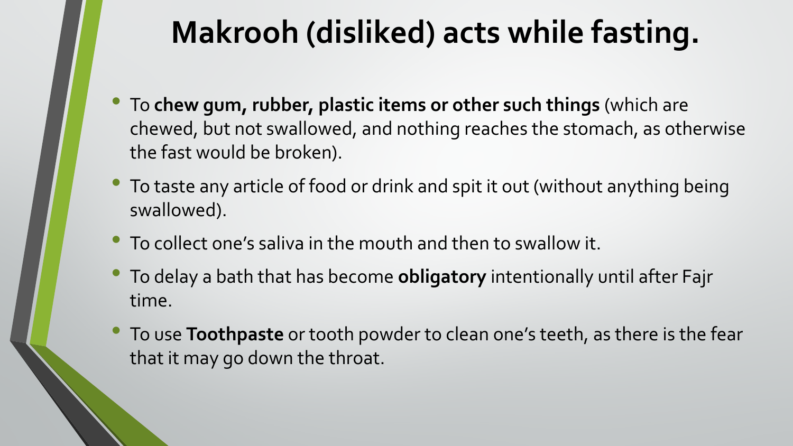#### **Makrooh (disliked) acts while fasting.**

- To **chew gum, rubber, plastic items or other such things** (which are chewed, but not swallowed, and nothing reaches the stomach, as otherwise the fast would be broken).
- To taste any article of food or drink and spit it out (without anything being swallowed).
- To collect one's saliva in the mouth and then to swallow it.
- To delay a bath that has become **obligatory** intentionally until after Fajr time.
- To use **Toothpaste** or tooth powder to clean one's teeth, as there is the fear that it may go down the throat.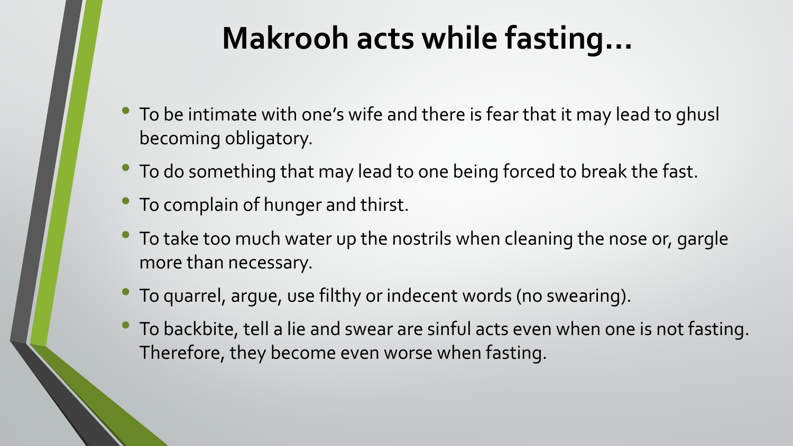### **Makrooh acts while fasting…**

- To be intimate with one's wife and there is fear that it may lead to ghusl becoming obligatory.
- To do something that may lead to one being forced to break the fast.
- To complain of hunger and thirst.
- To take too much water up the nostrils when cleaning the nose or, gargle more than necessary.
- To quarrel, argue, use filthy or indecent words (no swearing).
- To backbite, tell a lie and swear are sinful acts even when one is not fasting. Therefore, they become even worse when fasting.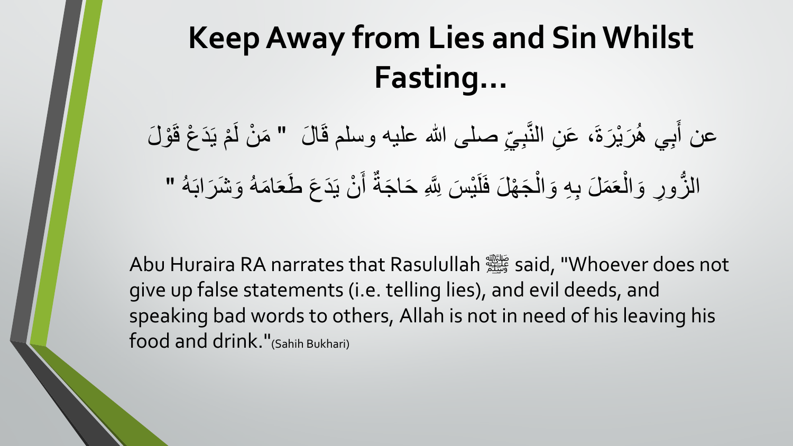# **Keep Away from Lies and Sin Whilst Fasting…**

عن أَبِي هُرَيْرَةَ، عَنِ النَّبِيِّ صلى الله عليه وسلم قَالَ " مَنْ لَمْ يَدَعْ قَوْلَ **ٔ** ֧֘֒<u>֓</u> َّ <u>់</u> الزُّورِ وَالْعَمَلَ بِهِ وَالْجَهْلَ فَلَيْسَ لِلَّهِ حَاجَةٌ أَنْ يَدَعَ طَعَامَهُ وَشَرَابَهُ " ْ َ َل ֦֧֧֟֟֟֟֟֟֟֟֟֟֟֟֟֟֓֕֬֟֓֟֓֟֬֝֟֩֕֓<u>֖</u> ֧֘<u>֚</u> ֧֘<u>֚</u>

Abu Huraira RA narrates that Rasulullah صلى الله عليه وسلم said, "Whoever does not give up false statements (i.e. telling lies), and evil deeds, and speaking bad words to others, Allah is not in need of his leaving his food and drink."(Sahih Bukhari)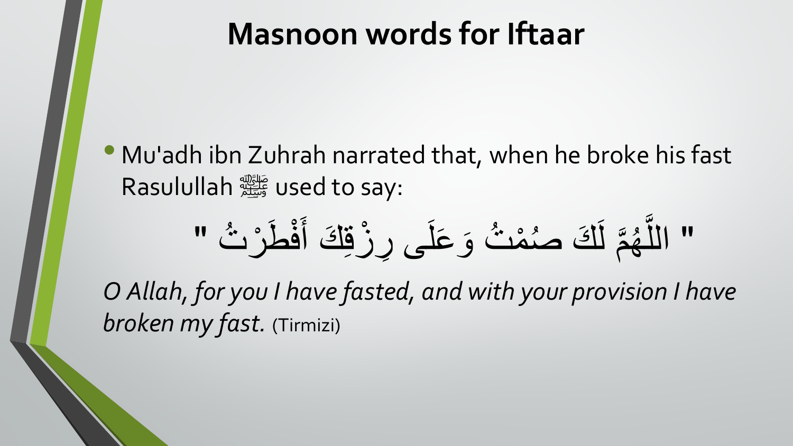#### **Masnoon words for Iftaar**

• Mu'adh ibn Zuhrah narrated that, when he broke his fast Rasulullah صلى الله عليه وسلم used to say:

" َ َك أ ِ زق ْ ِى ر َ عل َ و ُت َ م ْ ص َك ُ َ م ل َّ ھ ُ َّ ُت ر ْ َط الل ْ ف "

*O Allah, for you I have fasted, and with your provision I have broken my fast.* (Tirmizi)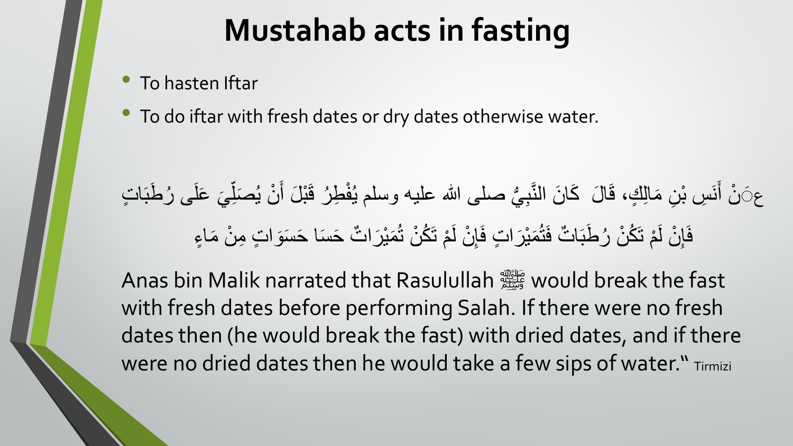#### **Mustahab acts in fasting**

- To hasten Iftar
- To do iftar with fresh dates or dry dates otherwise water.

عِيَنْ أَنَسِ بْنِ مَالِكٍ، قَالَ كَانَ النَّبِيُّ صلى الله عليه وسلم يُفْطِرُ قَبْلَ أَنْ يُصَلِّيَ عَلَى رُطَبَاتٍ <u>ْ ما</u> ֺ<u>֓</u>  $\frac{1}{2}$ <u>់</u> ֧<u>֚</u> فَإِنْ لَمْ تَكُنْ رُطَّبَاتٌ فَتُمَيْرَاتٍ فَإِنْ لَمْ تَكُنْ تُمَيْرَاتٌ حَسَا حَسَوَاتٍ مِنْ مَاءٍ ا<br>المسلمان<br>المسلمان<br>المسلمان<br>المسلمان<br> │<br>│ ا<br>المسلماني<br>المسلماني │<br>│ <u>់</u>

Anas bin Malik narrated that Rasulullah صلى الله عليه وسلم would break the fast with fresh dates before performing Salah. If there were no fresh dates then (he would break the fast) with dried dates, and if there Were no dried dates then he would take a few sips of water." Tirmizi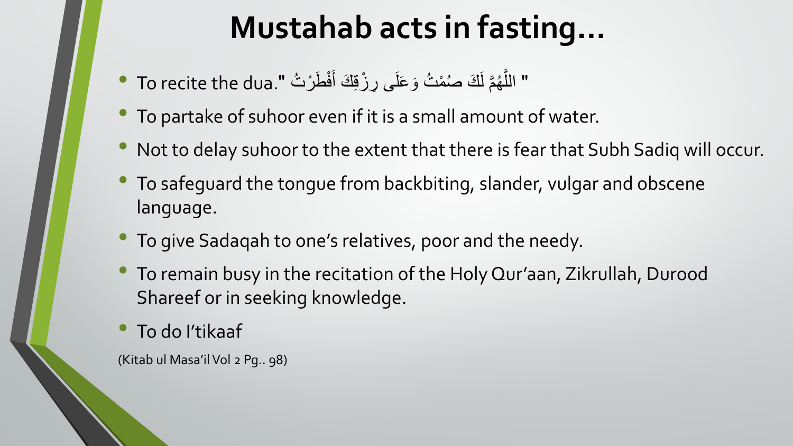#### **Mustahab acts in fasting…**

- " اللَّهُمَّ لَكَ صُمْتُ وَعَلَى رِزْقِكَ أَفْطَرْتُ ".To recite the dua ََّ المستقبل المستقبل المستقبل المستقبل المستقبل المستقبل المستقبل المستقبل المستقبل المستقبل المستقبل المستقبل ال<br>والمستقبل المستقبل المستقبل المستقبل المستقبل المستقبل المستقبل المستقبل المستقبل المستقبل المستقبل المستقبل ا َّ
- To partake of suhoor even if it is a small amount of water.
- Not to delay suhoor to the extent that there is fear that Subh Sadiq will occur.
- To safeguard the tongue from backbiting, slander, vulgar and obscene language.
- To give Sadaqah to one's relatives, poor and the needy.
- To remain busy in the recitation of the Holy Qur'aan, Zikrullah, Durood Shareef or in seeking knowledge.
- To do I'tikaaf

(Kitab ul Masa'il Vol 2 Pg.. 98)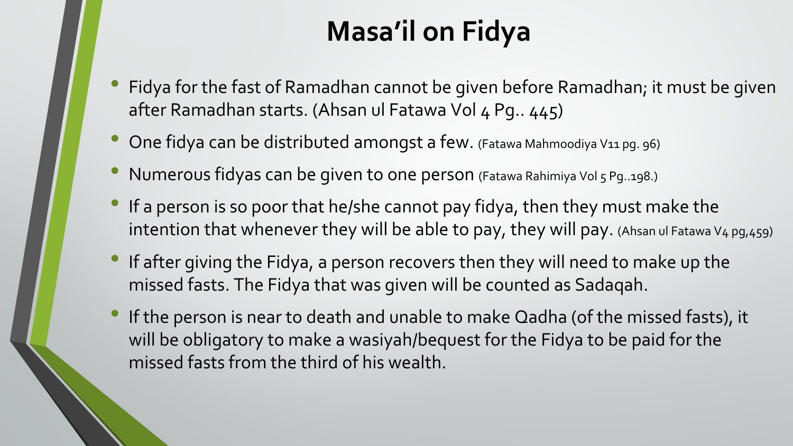#### **Masa'il on Fidya**

- Fidya for the fast of Ramadhan cannot be given before Ramadhan; it must be given after Ramadhan starts. (Ahsan ul Fatawa Vol 4 Pg. 445)
- One fidya can be distributed amongst a few. (Fatawa Mahmoodiya V11 pg. 96)
- Numerous fidyas can be given to one person (Fatawa Rahimiya Vol 5 Pg..198.)
- If a person is so poor that he/she cannot pay fidya, then they must make the intention that whenever they will be able to pay, they will pay. (Ahsan ul Fatawa V4 pg,459)
- If after giving the Fidya, a person recovers then they will need to make up the missed fasts. The Fidya that was given will be counted as Sadaqah.
- If the person is near to death and unable to make Qadha (of the missed fasts), it will be obligatory to make a wasiyah/bequest for the Fidya to be paid for the missed fasts from the third of his wealth.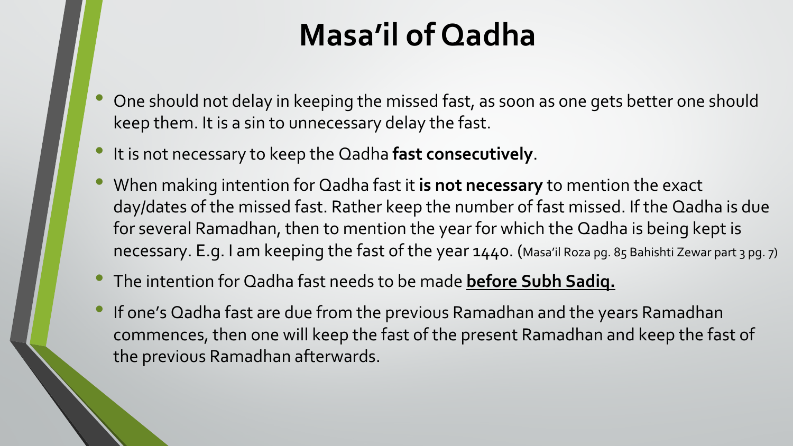### **Masa'il of Qadha**

- One should not delay in keeping the missed fast, as soon as one gets better one should keep them. It is a sin to unnecessary delay the fast.
- It is not necessary to keep the Qadha **fast consecutively**.
- When making intention for Qadha fast it **is not necessary** to mention the exact day/dates of the missed fast. Rather keep the number of fast missed. If the Qadha is due for several Ramadhan, then to mention the year for which the Qadha is being kept is necessary. E.g. I am keeping the fast of the year 1440. (Masa'il Roza pg. 85 Bahishti Zewar part 3 pg. 7)
- The intention for Qadha fast needs to be made **before Subh Sadiq.**
- If one's Qadha fast are due from the previous Ramadhan and the years Ramadhan commences, then one will keep the fast of the present Ramadhan and keep the fast of the previous Ramadhan afterwards.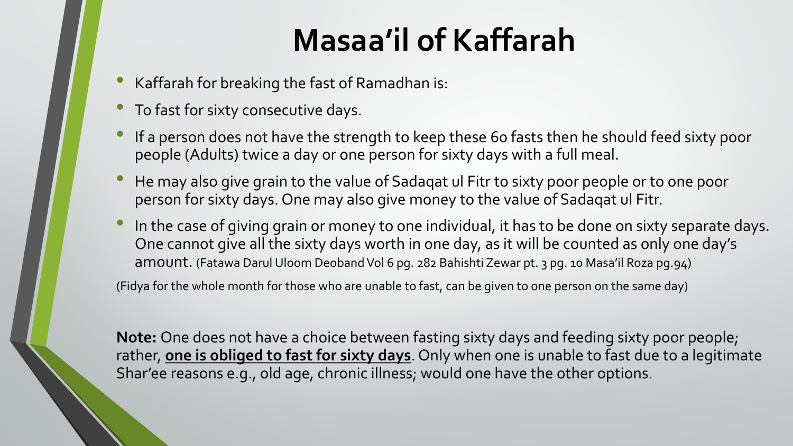# **Masaa'il of Kaffarah**

- Kaffarah for breaking the fast of Ramadhan is:
- To fast for sixty consecutive days.
- If a person does not have the strength to keep these 60 fasts then he should feed sixty poor people (Adults) twice a day or one person for sixty days with a full meal.
- He may also give grain to the value of Sadaqat ul Fitr to sixty poor people or to one poor person for sixty days. One may also give money to the value of Sadaqat ul Fitr.
- In the case of giving grain or money to one individual, it has to be done on sixty separate days. One cannot give all the sixty days worth in one day, as it will be counted as only one day's amount. (Fatawa Darul Uloom Deoband Vol 6 pg. 282 Bahishti Zewar pt. 3 pg. 10 Masa'il Roza pg.94)

(Fidya for the whole month for those who are unable to fast, can be given to one person on the same day)

**Note:** One does not have a choice between fasting sixty days and feeding sixty poor people; rather, **one is obliged to fast for sixty days**. Only when one is unable to fast due to a legitimate Shar'ee reasons e.g., old age, chronic illness; would one have the other options.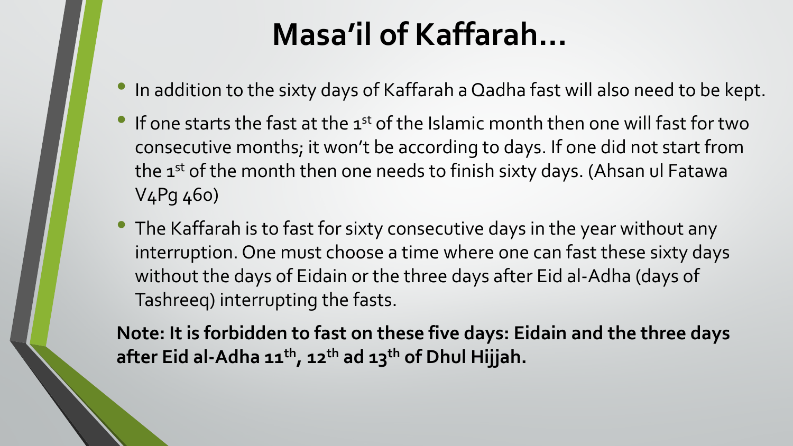#### **Masa'il of Kaffarah…**

- In addition to the sixty days of Kaffarah a Qadha fast will also need to be kept.
- $\bullet$  If one starts the fast at the 1st of the Islamic month then one will fast for two consecutive months; it won't be according to days. If one did not start from the 1<sup>st</sup> of the month then one needs to finish sixty days. (Ahsan ul Fatawa V4Pg 460)
- The Kaffarah is to fast for sixty consecutive days in the year without any interruption. One must choose a time where one can fast these sixty days without the days of Eidain or the three days after Eid al-Adha (days of Tashreeq) interrupting the fasts.

**Note: It is forbidden to fast on these five days: Eidain and the three days after Eid al-Adha 11th , 12th ad 13th of Dhul Hijjah.**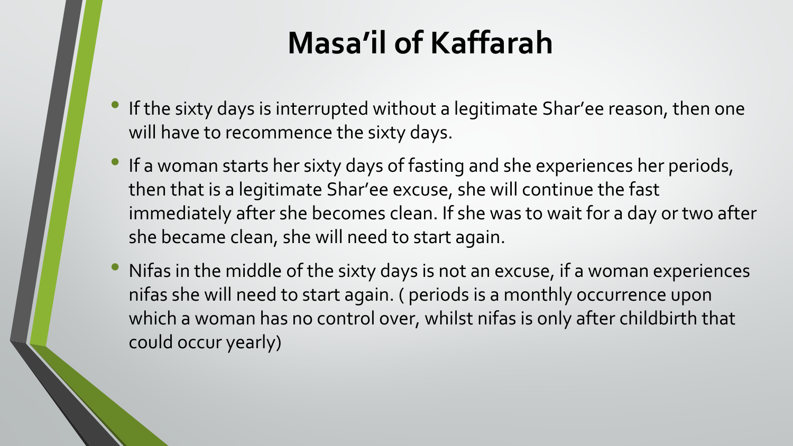### **Masa'il of Kaffarah**

- If the sixty days is interrupted without a legitimate Shar'ee reason, then one will have to recommence the sixty days.
- If a woman starts her sixty days of fasting and she experiences her periods, then that is a legitimate Shar'ee excuse, she will continue the fast immediately after she becomes clean. If she was to wait for a day or two after she became clean, she will need to start again.
- Nifas in the middle of the sixty days is not an excuse, if a woman experiences nifas she will need to start again. ( periods is a monthly occurrence upon which a woman has no control over, whilst nifas is only after childbirth that could occur yearly)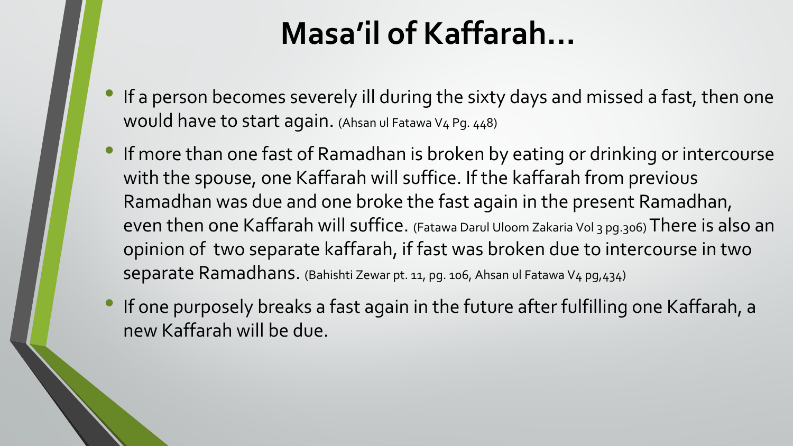#### **Masa'il of Kaffarah…**

- If a person becomes severely ill during the sixty days and missed a fast, then one would have to start again. (Ahsan ul Fatawa V4 Pg. 448)
- If more than one fast of Ramadhan is broken by eating or drinking or intercourse with the spouse, one Kaffarah will suffice. If the kaffarah from previous Ramadhan was due and one broke the fast again in the present Ramadhan, even then one Kaffarah will suffice. (Fatawa Darul Uloom Zakaria Vol 3 pg.306) There is also an opinion of two separate kaffarah, if fast was broken due to intercourse in two separate Ramadhans. (Bahishti Zewar pt. 11, pg. 106, Ahsan ul Fatawa V4 pg,434)
- If one purposely breaks a fast again in the future after fulfilling one Kaffarah, a new Kaffarah will be due.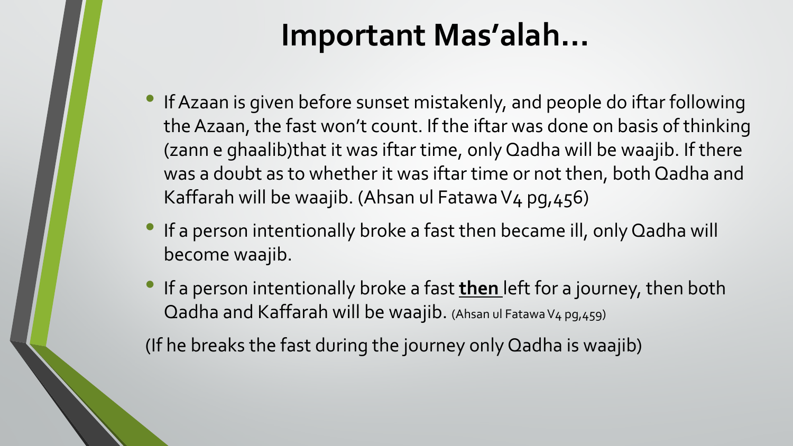#### **Important Mas'alah…**

- If Azaan is given before sunset mistakenly, and people do iftar following the Azaan, the fast won't count. If the iftar was done on basis of thinking (zann e ghaalib)that it was iftar time, only Qadha will be waajib. If there was a doubt as to whether it was iftar time or not then, both Qadha and Kaffarah will be waajib. (Ahsan ul Fatawa V4 pg,456)
- If a person intentionally broke a fast then became ill, only Qadha will become waajib.
- If a person intentionally broke a fast **then** left for a journey, then both Qadha and Kaffarah will be waajib. (Ahsan ul Fatawa V4 pg,459)

(If he breaks the fast during the journey only Qadha is waajib)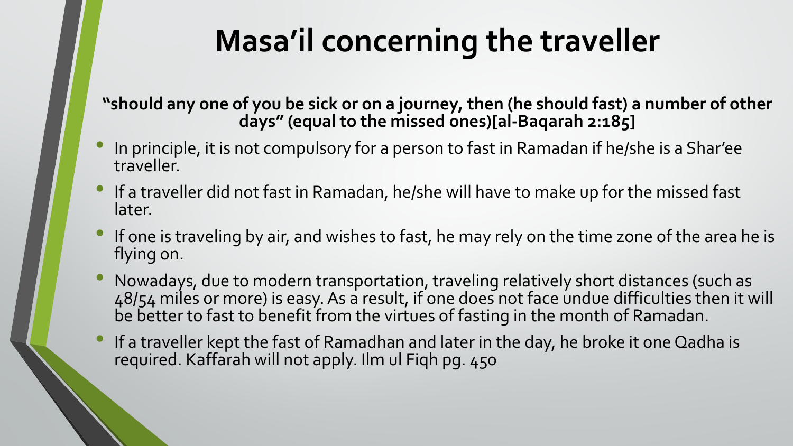### **Masa'il concerning the traveller**

**"should any one of you be sick or on a journey, then (he should fast) a number of other days" (equal to the missed ones)[al-Baqarah 2:185]**

- In principle, it is not compulsory for a person to fast in Ramadan if he/she is a Shar'ee traveller.
- If a traveller did not fast in Ramadan, he/she will have to make up for the missed fast later.
- If one is traveling by air, and wishes to fast, he may rely on the time zone of the area he is flying on.
- Nowadays, due to modern transportation, traveling relatively short distances (such as 48/54 miles or more) is easy. As a result, if one does not face undue difficulties then it will be better to fast to benefit from the virtues of fasting in the month of Ramadan.
- If a traveller kept the fast of Ramadhan and later in the day, he broke it one Qadha is required. Kaffarah will not apply. Ilm ul Fiqh pg. 450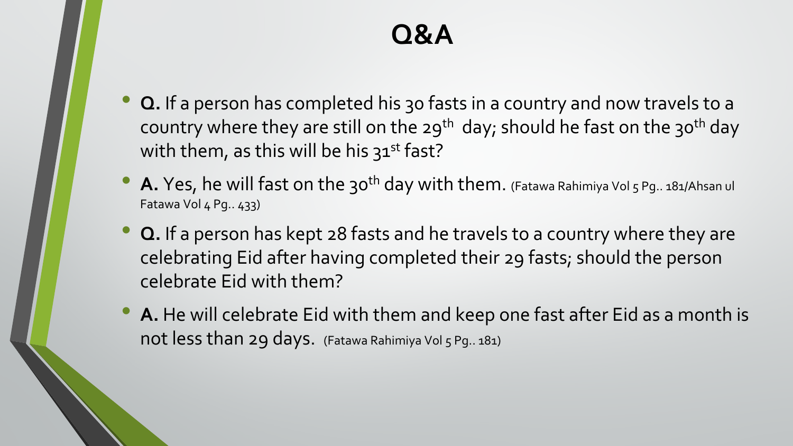- **Q.** If a person has completed his 30 fasts in a country and now travels to a country where they are still on the  $29^{th}$  day; should he fast on the 30<sup>th</sup> day with them, as this will be his  $31^{st}$  fast?
- **A.** Yes, he will fast on the 30<sup>th</sup> day with them. (Fatawa Rahimiya Vol 5 Pg. 181/Ahsan ul Fatawa Vol 4 Pg. 433)
- **Q.** If a person has kept 28 fasts and he travels to a country where they are celebrating Eid after having completed their 29 fasts; should the person celebrate Eid with them?
- **A.** He will celebrate Eid with them and keep one fast after Eid as a month is not less than 29 days. (Fatawa Rahimiya Vol 5 Pg.. 181)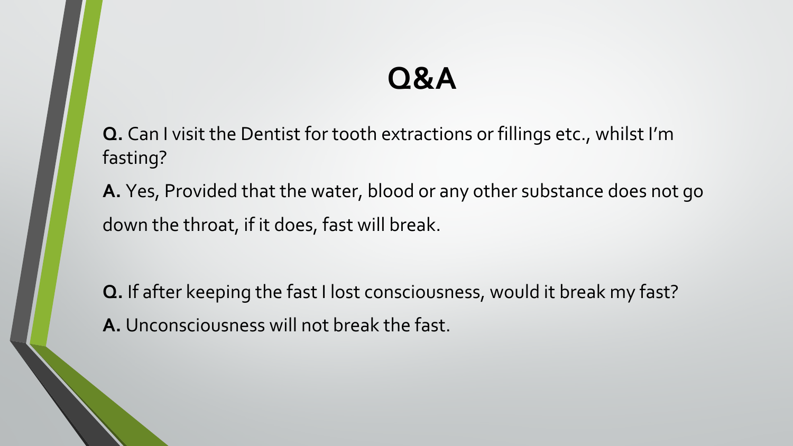#### **Q&A**

**Q.** Can I visit the Dentist for tooth extractions or fillings etc., whilst I'm fasting?

**A.** Yes, Provided that the water, blood or any other substance does not go down the throat, if it does, fast will break.

**Q.** If after keeping the fast I lost consciousness, would it break my fast? **A.** Unconsciousness will not break the fast.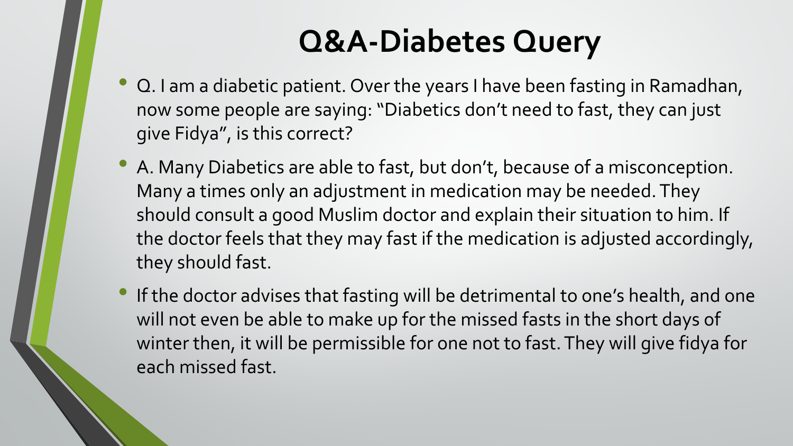### **Q&A-Diabetes Query**

- Q. I am a diabetic patient. Over the years I have been fasting in Ramadhan, now some people are saying: "Diabetics don't need to fast, they can just give Fidya", is this correct?
- A. Many Diabetics are able to fast, but don't, because of a misconception. Many a times only an adjustment in medication may be needed. They should consult a good Muslim doctor and explain their situation to him. If the doctor feels that they may fast if the medication is adjusted accordingly, they should fast.
- If the doctor advises that fasting will be detrimental to one's health, and one will not even be able to make up for the missed fasts in the short days of winter then, it will be permissible for one not to fast. They will give fidya for each missed fast.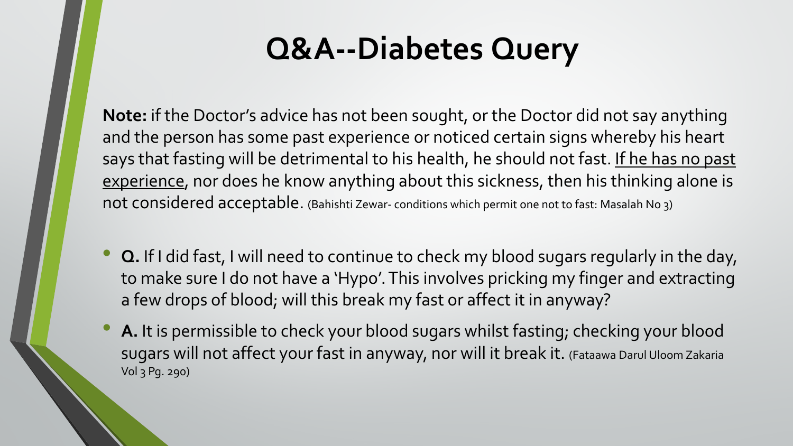#### **Q&A--Diabetes Query**

**Note:** if the Doctor's advice has not been sought, or the Doctor did not say anything and the person has some past experience or noticed certain signs whereby his heart says that fasting will be detrimental to his health, he should not fast. If he has no past experience, nor does he know anything about this sickness, then his thinking alone is not considered acceptable. (Bahishti Zewar- conditions which permit one not to fast: Masalah No 3)

- **Q.** If I did fast, I will need to continue to check my blood sugars regularly in the day, to make sure I do not have a 'Hypo'. This involves pricking my finger and extracting a few drops of blood; will this break my fast or affect it in anyway?
- **A.** It is permissible to check your blood sugars whilst fasting; checking your blood sugars will not affect your fast in anyway, nor will it break it. (Fataawa Darul Uloom Zakaria Vol 3 Pg. 290)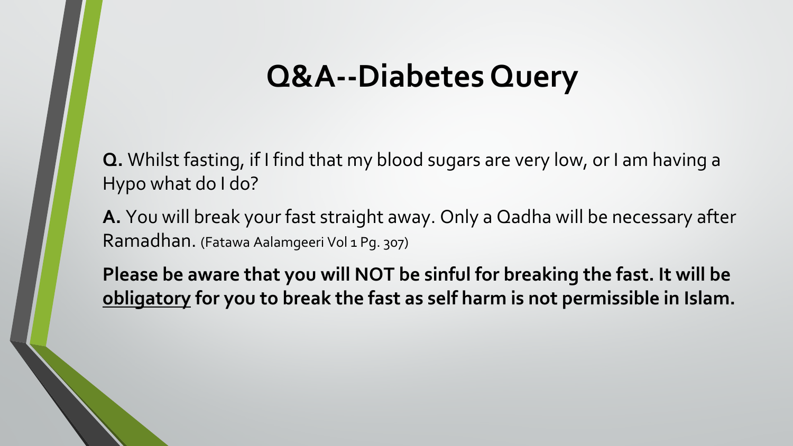#### **Q&A--Diabetes Query**

**Q.** Whilst fasting, if I find that my blood sugars are very low, or I am having a Hypo what do I do?

**A.** You will break your fast straight away. Only a Qadha will be necessary after Ramadhan. (Fatawa Aalamgeeri Vol 1 Pg. 307)

**Please be aware that you will NOT be sinful for breaking the fast. It will be obligatory for you to break the fast as self harm is not permissible in Islam.**